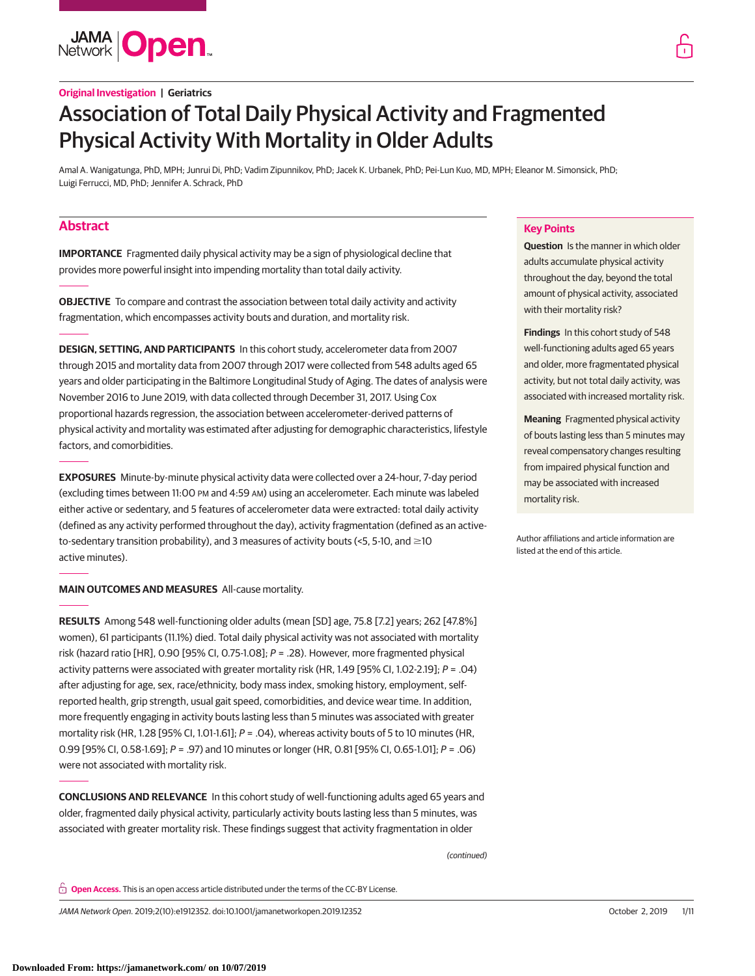**JAMA Open** 

# **Original Investigation | Geriatrics**

# Association of Total Daily Physical Activity and Fragmented Physical Activity With Mortality in Older Adults

Amal A. Wanigatunga, PhD, MPH; Junrui Di, PhD; Vadim Zipunnikov, PhD; Jacek K. Urbanek, PhD; Pei-Lun Kuo, MD, MPH; Eleanor M. Simonsick, PhD; Luigi Ferrucci, MD, PhD; Jennifer A. Schrack, PhD

# **Abstract**

**IMPORTANCE** Fragmented daily physical activity may be a sign of physiological decline that provides more powerful insight into impending mortality than total daily activity.

**OBJECTIVE** To compare and contrast the association between total daily activity and activity fragmentation, which encompasses activity bouts and duration, and mortality risk.

**DESIGN, SETTING, AND PARTICIPANTS** In this cohort study, accelerometer data from 2007 through 2015 and mortality data from 2007 through 2017 were collected from 548 adults aged 65 years and older participating in the Baltimore Longitudinal Study of Aging. The dates of analysis were November 2016 to June 2019, with data collected through December 31, 2017. Using Cox proportional hazards regression, the association between accelerometer-derived patterns of physical activity and mortality was estimated after adjusting for demographic characteristics, lifestyle factors, and comorbidities.

**EXPOSURES** Minute-by-minute physical activity data were collected over a 24-hour, 7-day period (excluding times between 11:00 PM and 4:59 AM) using an accelerometer. Each minute was labeled either active or sedentary, and 5 features of accelerometer data were extracted: total daily activity (defined as any activity performed throughout the day), activity fragmentation (defined as an activeto-sedentary transition probability), and 3 measures of activity bouts (<5, 5-10, and  $\geq$ 10 active minutes).

**MAIN OUTCOMES AND MEASURES** All-cause mortality.

**RESULTS** Among 548 well-functioning older adults (mean [SD] age, 75.8 [7.2] years; 262 [47.8%] women), 61 participants (11.1%) died. Total daily physical activity was not associated with mortality risk (hazard ratio [HR], 0.90 [95% CI, 0.75-1.08];  $P = .28$ ). However, more fragmented physical activity patterns were associated with greater mortality risk (HR, 1.49 [95% CI, 1.02-2.19];  $P = .04$ ) after adjusting for age, sex, race/ethnicity, body mass index, smoking history, employment, selfreported health, grip strength, usual gait speed, comorbidities, and device wear time. In addition, more frequently engaging in activity bouts lasting less than 5 minutes was associated with greater mortality risk (HR, 1.28 [95% CI, 1.01-1.61];  $P = .04$ ), whereas activity bouts of 5 to 10 minutes (HR, 0.99 [95% CI, 0.58-1.69]; P = .97) and 10 minutes or longer (HR, 0.81 [95% CI, 0.65-1.01]; P = .06) were not associated with mortality risk.

**CONCLUSIONS AND RELEVANCE** In this cohort study of well-functioning adults aged 65 years and older, fragmented daily physical activity, particularly activity bouts lasting less than 5 minutes, was associated with greater mortality risk. These findings suggest that activity fragmentation in older

(continued)

**Open Access.** This is an open access article distributed under the terms of the CC-BY License.

JAMA Network Open. 2019;2(10):e1912352. doi:10.1001/jamanetworkopen.2019.12352 (Reprinted) October 2, 2019 1/11

# **Key Points**

**Question** Is the manner in which older adults accumulate physical activity throughout the day, beyond the total amount of physical activity, associated with their mortality risk?

**Findings** In this cohort study of 548 well-functioning adults aged 65 years and older, more fragmentated physical activity, but not total daily activity, was associated with increased mortality risk.

**Meaning** Fragmented physical activity of bouts lasting less than 5 minutes may reveal compensatory changes resulting from impaired physical function and may be associated with increased mortality risk.

Author affiliations and article information are listed at the end of this article.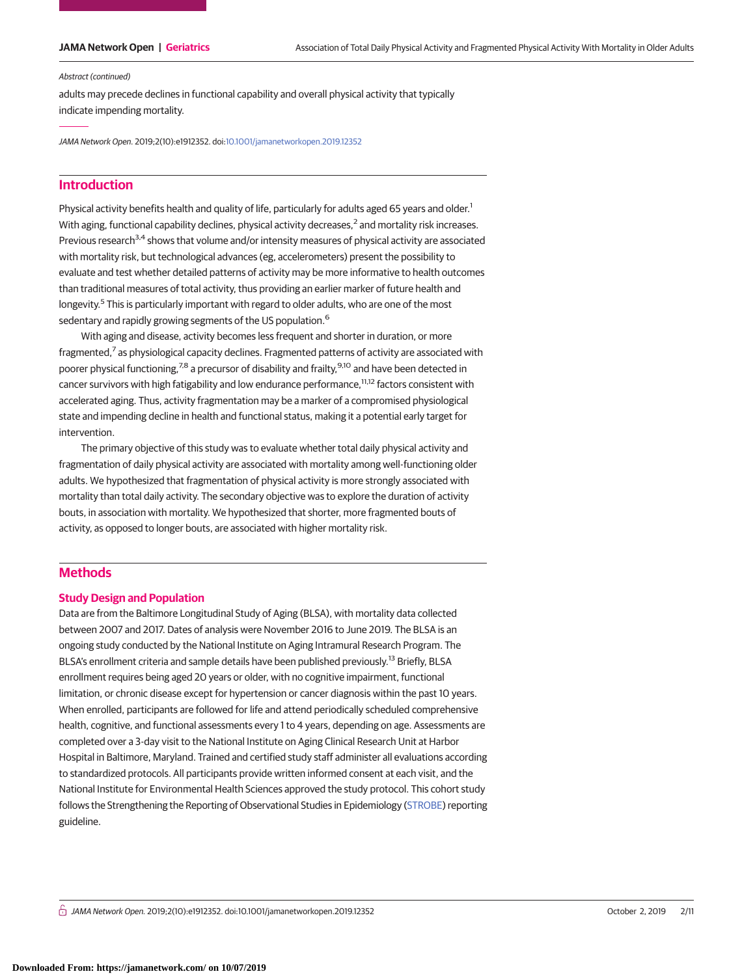#### Abstract (continued)

adults may precede declines in functional capability and overall physical activity that typically indicate impending mortality.

JAMA Network Open. 2019;2(10):e1912352. doi[:10.1001/jamanetworkopen.2019.12352](https://jama.jamanetwork.com/article.aspx?doi=10.1001/jamanetworkopen.2019.12352&utm_campaign=articlePDF%26utm_medium=articlePDFlink%26utm_source=articlePDF%26utm_content=jamanetworkopen.2019.12352)

# **Introduction**

Physical activity benefits health and quality of life, particularly for adults aged 65 years and older.<sup>1</sup> With aging, functional capability declines, physical activity decreases,<sup>2</sup> and mortality risk increases. Previous research<sup>3,4</sup> shows that volume and/or intensity measures of physical activity are associated with mortality risk, but technological advances (eg, accelerometers) present the possibility to evaluate and test whether detailed patterns of activity may be more informative to health outcomes than traditional measures of total activity, thus providing an earlier marker of future health and longevity.<sup>5</sup> This is particularly important with regard to older adults, who are one of the most sedentary and rapidly growing segments of the US population.<sup>6</sup>

With aging and disease, activity becomes less frequent and shorter in duration, or more fragmented,<sup>7</sup> as physiological capacity declines. Fragmented patterns of activity are associated with poorer physical functioning,<sup>7,8</sup> a precursor of disability and frailty,<sup>9,10</sup> and have been detected in cancer survivors with high fatigability and low endurance performance,<sup>11,12</sup> factors consistent with accelerated aging. Thus, activity fragmentation may be a marker of a compromised physiological state and impending decline in health and functional status, making it a potential early target for intervention.

The primary objective of this study was to evaluate whether total daily physical activity and fragmentation of daily physical activity are associated with mortality among well-functioning older adults. We hypothesized that fragmentation of physical activity is more strongly associated with mortality than total daily activity. The secondary objective was to explore the duration of activity bouts, in association with mortality. We hypothesized that shorter, more fragmented bouts of activity, as opposed to longer bouts, are associated with higher mortality risk.

# **Methods**

#### **Study Design and Population**

Data are from the Baltimore Longitudinal Study of Aging (BLSA), with mortality data collected between 2007 and 2017. Dates of analysis were November 2016 to June 2019. The BLSA is an ongoing study conducted by the National Institute on Aging Intramural Research Program. The BLSA's enrollment criteria and sample details have been published previously.<sup>13</sup> Briefly, BLSA enrollment requires being aged 20 years or older, with no cognitive impairment, functional limitation, or chronic disease except for hypertension or cancer diagnosis within the past 10 years. When enrolled, participants are followed for life and attend periodically scheduled comprehensive health, cognitive, and functional assessments every 1 to 4 years, depending on age. Assessments are completed over a 3-day visit to the National Institute on Aging Clinical Research Unit at Harbor Hospital in Baltimore, Maryland. Trained and certified study staff administer all evaluations according to standardized protocols. All participants provide written informed consent at each visit, and the National Institute for Environmental Health Sciences approved the study protocol. This cohort study follows the Strengthening the Reporting of Observational Studies in Epidemiology [\(STROBE\)](http://www.equator-network.org/reporting-guidelines/strobe/) reporting guideline.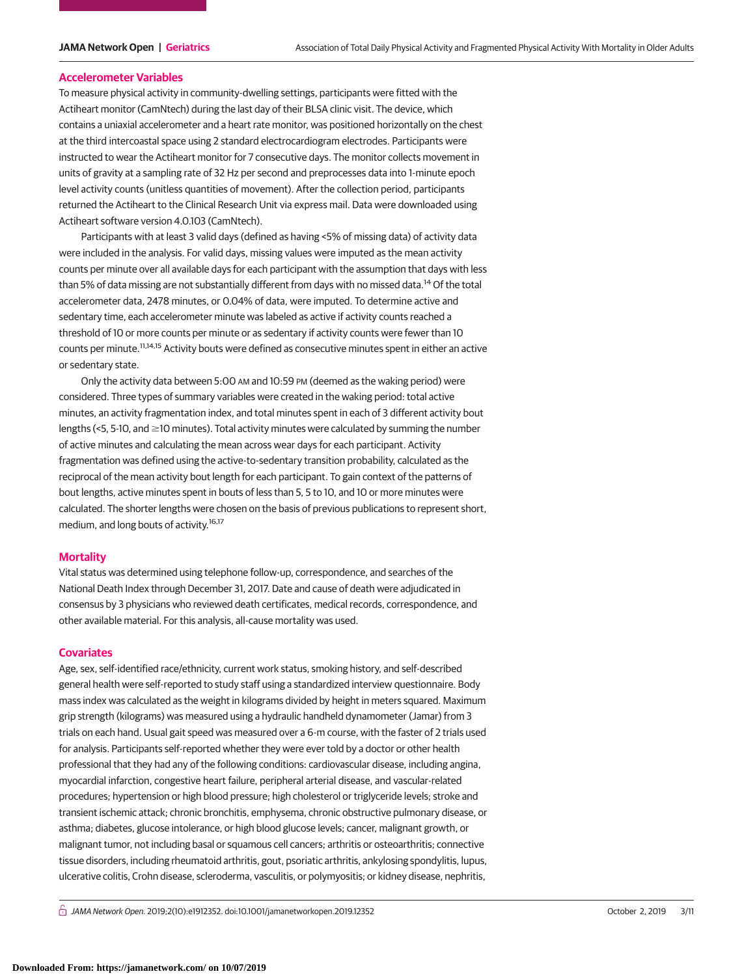#### **Accelerometer Variables**

To measure physical activity in community-dwelling settings, participants were fitted with the Actiheart monitor (CamNtech) during the last day of their BLSA clinic visit. The device, which contains a uniaxial accelerometer and a heart rate monitor, was positioned horizontally on the chest at the third intercoastal space using 2 standard electrocardiogram electrodes. Participants were instructed to wear the Actiheart monitor for 7 consecutive days. The monitor collects movement in units of gravity at a sampling rate of 32 Hz per second and preprocesses data into 1-minute epoch level activity counts (unitless quantities of movement). After the collection period, participants returned the Actiheart to the Clinical Research Unit via express mail. Data were downloaded using Actiheart software version 4.0.103 (CamNtech).

Participants with at least 3 valid days (defined as having <5% of missing data) of activity data were included in the analysis. For valid days, missing values were imputed as the mean activity counts per minute over all available days for each participant with the assumption that days with less than 5% of data missing are not substantially different from days with no missed data.<sup>14</sup> Of the total accelerometer data, 2478 minutes, or 0.04% of data, were imputed. To determine active and sedentary time, each accelerometer minute was labeled as active if activity counts reached a threshold of 10 or more counts per minute or as sedentary if activity counts were fewer than 10 counts per minute.11,14,15 Activity bouts were defined as consecutive minutes spent in either an active or sedentary state.

Only the activity data between 5:00 AM and 10:59 PM (deemed as the waking period) were considered. Three types of summary variables were created in the waking period: total active minutes, an activity fragmentation index, and total minutes spent in each of 3 different activity bout lengths (<5, 5-10, and  $\geq$ 10 minutes). Total activity minutes were calculated by summing the number of active minutes and calculating the mean across wear days for each participant. Activity fragmentation was defined using the active-to-sedentary transition probability, calculated as the reciprocal of the mean activity bout length for each participant. To gain context of the patterns of bout lengths, active minutes spent in bouts of less than 5, 5 to 10, and 10 or more minutes were calculated. The shorter lengths were chosen on the basis of previous publications to represent short, medium, and long bouts of activity.<sup>16,17</sup>

### **Mortality**

Vital status was determined using telephone follow-up, correspondence, and searches of the National Death Index through December 31, 2017. Date and cause of death were adjudicated in consensus by 3 physicians who reviewed death certificates, medical records, correspondence, and other available material. For this analysis, all-cause mortality was used.

### **Covariates**

Age, sex, self-identified race/ethnicity, current work status, smoking history, and self-described general health were self-reported to study staff using a standardized interview questionnaire. Body mass index was calculated as the weight in kilograms divided by height in meters squared. Maximum grip strength (kilograms) was measured using a hydraulic handheld dynamometer (Jamar) from 3 trials on each hand. Usual gait speed was measured over a 6-m course, with the faster of 2 trials used for analysis. Participants self-reported whether they were ever told by a doctor or other health professional that they had any of the following conditions: cardiovascular disease, including angina, myocardial infarction, congestive heart failure, peripheral arterial disease, and vascular-related procedures; hypertension or high blood pressure; high cholesterol or triglyceride levels; stroke and transient ischemic attack; chronic bronchitis, emphysema, chronic obstructive pulmonary disease, or asthma; diabetes, glucose intolerance, or high blood glucose levels; cancer, malignant growth, or malignant tumor, not including basal or squamous cell cancers; arthritis or osteoarthritis; connective tissue disorders, including rheumatoid arthritis, gout, psoriatic arthritis, ankylosing spondylitis, lupus, ulcerative colitis, Crohn disease, scleroderma, vasculitis, or polymyositis; or kidney disease, nephritis,

 $\bigcap$  JAMA Network Open. 2019;2(10):e1912352. doi:10.1001/jamanetworkopen.2019.12352 (Reprinted) October 2, 2019 3/11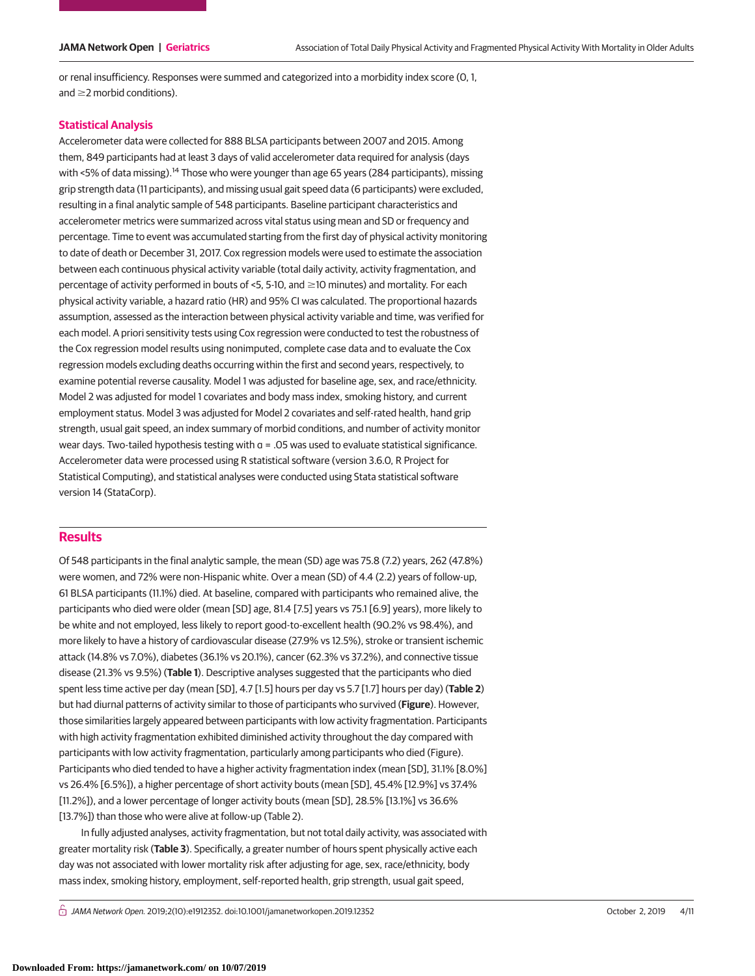or renal insufficiency. Responses were summed and categorized into a morbidity index score (0, 1, and  $\geq$  morbid conditions).

# **Statistical Analysis**

Accelerometer data were collected for 888 BLSA participants between 2007 and 2015. Among them, 849 participants had at least 3 days of valid accelerometer data required for analysis (days with <5% of data missing).<sup>14</sup> Those who were younger than age 65 years (284 participants), missing grip strength data (11 participants), and missing usual gait speed data (6 participants) were excluded, resulting in a final analytic sample of 548 participants. Baseline participant characteristics and accelerometer metrics were summarized across vital status using mean and SD or frequency and percentage. Time to event was accumulated starting from the first day of physical activity monitoring to date of death or December 31, 2017. Cox regression models were used to estimate the association between each continuous physical activity variable (total daily activity, activity fragmentation, and percentage of activity performed in bouts of <5, 5-10, and  $\geq$ 10 minutes) and mortality. For each physical activity variable, a hazard ratio (HR) and 95% CI was calculated. The proportional hazards assumption, assessed as the interaction between physical activity variable and time, was verified for each model. A priori sensitivity tests using Cox regression were conducted to test the robustness of the Cox regression model results using nonimputed, complete case data and to evaluate the Cox regression models excluding deaths occurring within the first and second years, respectively, to examine potential reverse causality. Model 1 was adjusted for baseline age, sex, and race/ethnicity. Model 2 was adjusted for model 1 covariates and body mass index, smoking history, and current employment status. Model 3 was adjusted for Model 2 covariates and self-rated health, hand grip strength, usual gait speed, an index summary of morbid conditions, and number of activity monitor wear days. Two-tailed hypothesis testing with α = .05 was used to evaluate statistical significance. Accelerometer data were processed using R statistical software (version 3.6.0, R Project for Statistical Computing), and statistical analyses were conducted using Stata statistical software version 14 (StataCorp).

# **Results**

Of 548 participants in the final analytic sample, the mean (SD) age was 75.8 (7.2) years, 262 (47.8%) were women, and 72% were non-Hispanic white. Over a mean (SD) of 4.4 (2.2) years of follow-up, 61 BLSA participants (11.1%) died. At baseline, compared with participants who remained alive, the participants who died were older (mean [SD] age, 81.4 [7.5] years vs 75.1 [6.9] years), more likely to be white and not employed, less likely to report good-to-excellent health (90.2% vs 98.4%), and more likely to have a history of cardiovascular disease (27.9% vs 12.5%), stroke or transient ischemic attack (14.8% vs 7.0%), diabetes (36.1% vs 20.1%), cancer (62.3% vs 37.2%), and connective tissue disease (21.3% vs 9.5%) (**Table 1**). Descriptive analyses suggested that the participants who died spent less time active per day (mean [SD], 4.7 [1.5] hours per day vs 5.7 [1.7] hours per day) (**Table 2**) but had diurnal patterns of activity similar to those of participants who survived (**Figure**). However, those similarities largely appeared between participants with low activity fragmentation. Participants with high activity fragmentation exhibited diminished activity throughout the day compared with participants with low activity fragmentation, particularly among participants who died (Figure). Participants who died tended to have a higher activity fragmentation index (mean [SD], 31.1% [8.0%] vs 26.4% [6.5%]), a higher percentage of short activity bouts (mean [SD], 45.4% [12.9%] vs 37.4% [11.2%]), and a lower percentage of longer activity bouts (mean [SD], 28.5% [13.1%] vs 36.6% [13.7%]) than those who were alive at follow-up (Table 2).

In fully adjusted analyses, activity fragmentation, but not total daily activity, was associated with greater mortality risk (**Table 3**). Specifically, a greater number of hours spent physically active each day was not associated with lower mortality risk after adjusting for age, sex, race/ethnicity, body mass index, smoking history, employment, self-reported health, grip strength, usual gait speed,

 $\bigcap$  JAMA Network Open. 2019;2(10):e1912352. doi:10.1001/jamanetworkopen.2019.12352 (Reprinted) October 2, 2019 4/11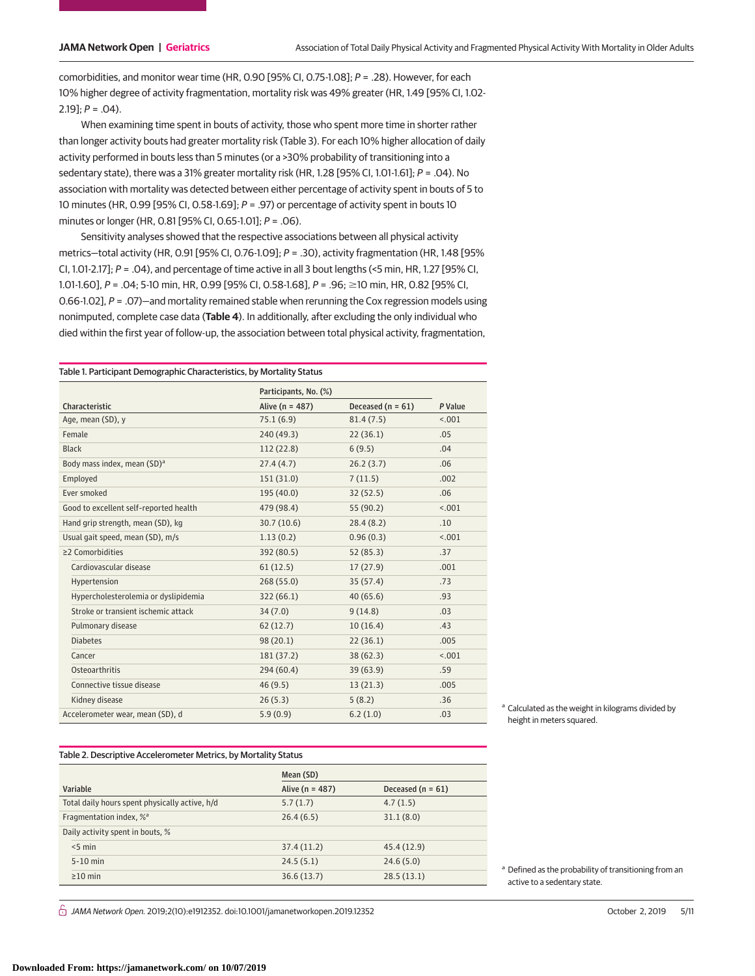comorbidities, and monitor wear time (HR, 0.90 [95% CI, 0.75-1.08]; P = .28). However, for each 10% higher degree of activity fragmentation, mortality risk was 49% greater (HR, 1.49 [95% CI, 1.02-  $2.19$ ];  $P = .04$ ).

When examining time spent in bouts of activity, those who spent more time in shorter rather than longer activity bouts had greater mortality risk (Table 3). For each 10% higher allocation of daily activity performed in bouts less than 5 minutes (or a >30% probability of transitioning into a sedentary state), there was a 31% greater mortality risk (HR, 1.28 [95% CI, 1.01-1.61];  $P = .04$ ). No association with mortality was detected between either percentage of activity spent in bouts of 5 to 10 minutes (HR, 0.99 [95% CI, 0.58-1.69];  $P = .97$ ) or percentage of activity spent in bouts 10 minutes or longer (HR, 0.81 [95% CI, 0.65-1.01]; P = .06).

Sensitivity analyses showed that the respective associations between all physical activity metrics—total activity (HR, 0.91 [95% CI, 0.76-1.09]; P = .30), activity fragmentation (HR, 1.48 [95% CI, 1.01-2.17];  $P = .04$ ), and percentage of time active in all 3 bout lengths (<5 min, HR, 1.27 [95% CI, 1.01-1.60], P = .04; 5-10 min, HR, 0.99 [95% CI, 0.58-1.68], P = .96; ≥10 min, HR, 0.82 [95% CI, 0.66-1.02], P = .07)—and mortality remained stable when rerunning the Cox regression models using nonimputed, complete case data (**Table 4**). In additionally, after excluding the only individual who died within the first year of follow-up, the association between total physical activity, fragmentation,

Table 1. Participant Demographic Characteristics, by Mortality Status

|                                         | Participants, No. (%) |                     |         |
|-----------------------------------------|-----------------------|---------------------|---------|
| Characteristic                          | Alive ( $n = 487$ )   | Deceased $(n = 61)$ | P Value |
| Age, mean (SD), y                       | 75.1(6.9)             | 81.4(7.5)           | < .001  |
| Female                                  | 240 (49.3)            | 22(36.1)            | .05     |
| <b>Black</b>                            | 112 (22.8)            | 6(9.5)              | .04     |
| Body mass index, mean (SD) <sup>a</sup> | 27.4(4.7)             | 26.2(3.7)           | .06     |
| Employed                                | 151 (31.0)            | 7(11.5)             | .002    |
| Ever smoked                             | 195 (40.0)            | 32(52.5)            | .06     |
| Good to excellent self-reported health  | 479 (98.4)            | 55 (90.2)           | < .001  |
| Hand grip strength, mean (SD), kg       | 30.7(10.6)            | 28.4(8.2)           | .10     |
| Usual gait speed, mean (SD), m/s        | 1.13(0.2)             | 0.96(0.3)           | < .001  |
| ≥2 Comorbidities                        | 392 (80.5)            | 52(85.3)            | .37     |
| Cardiovascular disease                  | 61(12.5)              | 17(27.9)            | .001    |
| Hypertension                            | 268 (55.0)            | 35(57.4)            | .73     |
| Hypercholesterolemia or dyslipidemia    | 322(66.1)             | 40(65.6)            | .93     |
| Stroke or transient ischemic attack     | 34(7.0)               | 9(14.8)             | .03     |
| Pulmonary disease                       | 62(12.7)              | 10(16.4)            | .43     |
| <b>Diabetes</b>                         | 98(20.1)              | 22(36.1)            | .005    |
| Cancer                                  | 181 (37.2)            | 38(62.3)            | < .001  |
| Osteoarthritis                          | 294 (60.4)            | 39 (63.9)           | .59     |
| Connective tissue disease               | 46(9.5)               | 13(21.3)            | .005    |
| Kidney disease                          | 26(5.3)               | 5(8.2)              | .36     |
| Accelerometer wear, mean (SD), d        | 5.9(0.9)              | 6.2(1.0)            | .03     |

#### Table 2. Descriptive Accelerometer Metrics, by Mortality Status

|                                                | Mean (SD)           |                       |
|------------------------------------------------|---------------------|-----------------------|
| Variable                                       | Alive ( $n = 487$ ) | Deceased ( $n = 61$ ) |
| Total daily hours spent physically active, h/d | 5.7(1.7)            | 4.7(1.5)              |
| Fragmentation index, % <sup>a</sup>            | 26.4(6.5)           | 31.1(8.0)             |
| Daily activity spent in bouts, %               |                     |                       |
| $< 5$ min                                      | 37.4(11.2)          | 45.4 (12.9)           |
| $5-10$ min                                     | 24.5(5.1)           | 24.6(5.0)             |
| $\geq$ 10 min                                  | 36.6(13.7)          | 28.5(13.1)            |

 $\bigcap$  JAMA Network Open. 2019;2(10):e1912352. doi:10.1001/jamanetworkopen.2019.12352 (Reprinted) October 2, 2019 5/11

<sup>a</sup> Calculated as the weight in kilograms divided by height in meters squared.

<sup>a</sup> Defined as the probability of transitioning from an

active to a sedentary state.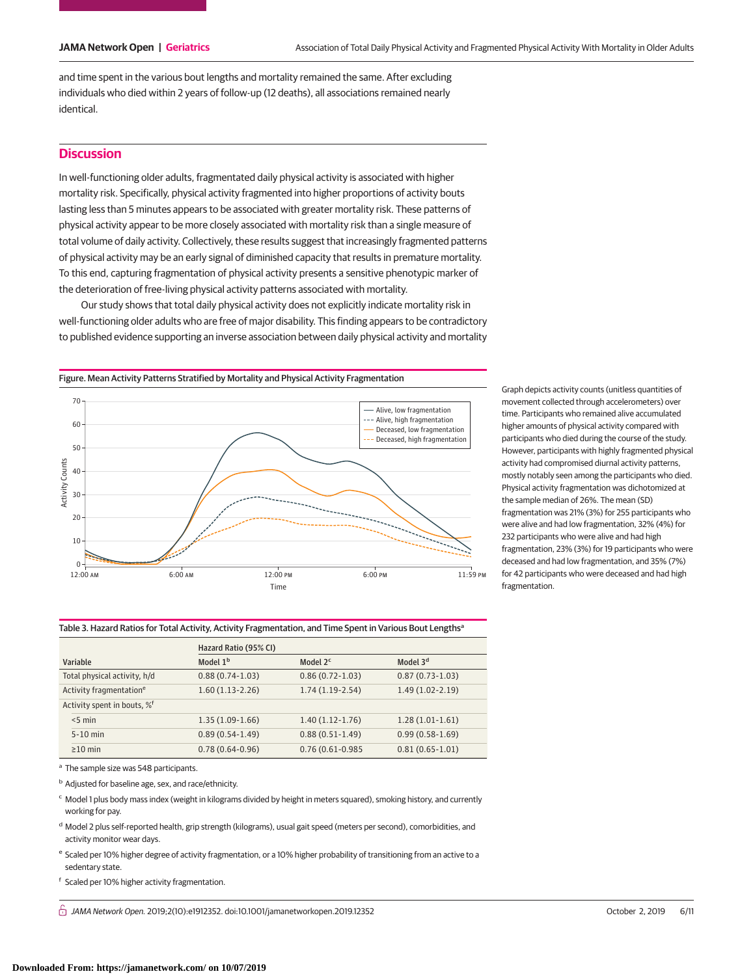$\overline{\phantom{a}}$ 

and time spent in the various bout lengths and mortality remained the same. After excluding individuals who died within 2 years of follow-up (12 deaths), all associations remained nearly identical.

# **Discussion**

In well-functioning older adults, fragmentated daily physical activity is associated with higher mortality risk. Specifically, physical activity fragmented into higher proportions of activity bouts lasting less than 5 minutes appears to be associated with greater mortality risk. These patterns of physical activity appear to be more closely associated with mortality risk than a single measure of total volume of daily activity. Collectively, these results suggest that increasingly fragmented patterns of physical activity may be an early signal of diminished capacity that results in premature mortality. To this end, capturing fragmentation of physical activity presents a sensitive phenotypic marker of the deterioration of free-living physical activity patterns associated with mortality.

Our study shows that total daily physical activity does not explicitly indicate mortality risk in well-functioning older adults who are free of major disability. This finding appears to be contradictory to published evidence supporting an inverse association between daily physical activity and mortality

Figure. Mean Activity Patterns Stratified by Mortality and Physical Activity Fragmentation



Graph depicts activity counts (unitless quantities of movement collected through accelerometers) over time. Participants who remained alive accumulated higher amounts of physical activity compared with participants who died during the course of the study. However, participants with highly fragmented physical activity had compromised diurnal activity patterns, mostly notably seen among the participants who died. Physical activity fragmentation was dichotomized at the sample median of 26%. The mean (SD) fragmentation was 21% (3%) for 255 participants who were alive and had low fragmentation, 32% (4%) for 232 participants who were alive and had high fragmentation, 23% (3%) for 19 participants who were deceased and had low fragmentation, and 35% (7%) for 42 participants who were deceased and had high fragmentation.

|                                         |                                     | Hazard Ratio (95% CI) |                      |                      |  |
|-----------------------------------------|-------------------------------------|-----------------------|----------------------|----------------------|--|
| Variable                                |                                     | Model 1 <sup>b</sup>  | Model 2 <sup>c</sup> | Model 3 <sup>d</sup> |  |
|                                         | Total physical activity, h/d        | $0.88(0.74-1.03)$     | $0.86(0.72 - 1.03)$  | $0.87(0.73-1.03)$    |  |
|                                         | Activity fragmentation <sup>e</sup> | $1.60(1.13-2.26)$     | $1.74(1.19-2.54)$    | $1.49(1.02 - 2.19)$  |  |
| Activity spent in bouts, % <sup>f</sup> |                                     |                       |                      |                      |  |
| $< 5$ min                               |                                     | $1.35(1.09-1.66)$     | $1.40(1.12-1.76)$    | $1.28(1.01-1.61)$    |  |
| $5-10$ min                              |                                     | $0.89(0.54-1.49)$     | $0.88(0.51-1.49)$    | $0.99(0.58 - 1.69)$  |  |
| $\geq$ 10 min                           |                                     | $0.78(0.64 - 0.96)$   | $0.76(0.61 - 0.985)$ | $0.81(0.65 - 1.01)$  |  |

Table 3. Hazard Ratios for Total Activity, Activity Fragmentation, and Time Spent in Various Bout Lengths<sup>a</sup>

<sup>a</sup> The sample size was 548 participants.

<sup>b</sup> Adjusted for baseline age, sex, and race/ethnicity.

<sup>c</sup> Model 1 plus body mass index (weight in kilograms divided by height in meters squared), smoking history, and currently working for pay.

<sup>d</sup> Model 2 plus self-reported health, grip strength (kilograms), usual gait speed (meters per second), comorbidities, and activity monitor wear days.

<sup>e</sup> Scaled per 10% higher degree of activity fragmentation, or a 10% higher probability of transitioning from an active to a sedentary state.

<sup>f</sup> Scaled per 10% higher activity fragmentation.

 $\bigcap$  JAMA Network Open. 2019;2(10):e1912352. doi:10.1001/jamanetworkopen.2019.12352 (Reprinted) October 2, 2019 6/11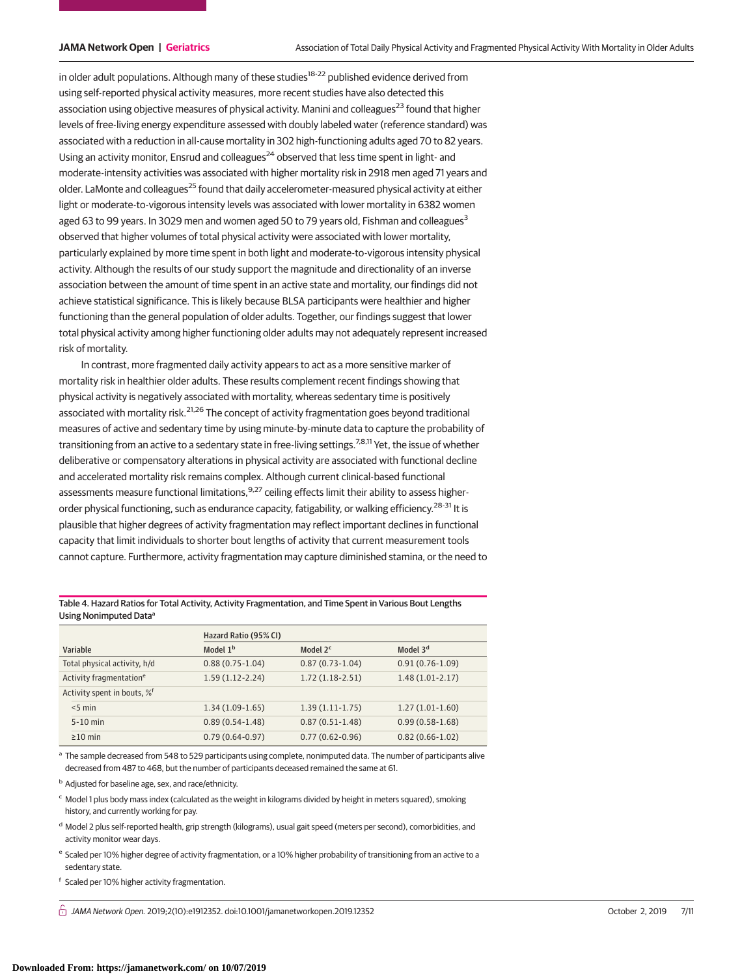in older adult populations. Although many of these studies<sup>18-22</sup> published evidence derived from using self-reported physical activity measures, more recent studies have also detected this association using objective measures of physical activity. Manini and colleagues<sup>23</sup> found that higher levels of free-living energy expenditure assessed with doubly labeled water (reference standard) was associated with a reduction in all-cause mortality in 302 high-functioning adults aged 70 to 82 years. Using an activity monitor, Ensrud and colleagues<sup>24</sup> observed that less time spent in light- and moderate-intensity activities was associated with higher mortality risk in 2918 men aged 71 years and older. LaMonte and colleagues<sup>25</sup> found that daily accelerometer-measured physical activity at either light or moderate-to-vigorous intensity levels was associated with lower mortality in 6382 women aged 63 to 99 years. In 3029 men and women aged 50 to 79 years old, Fishman and colleagues<sup>3</sup> observed that higher volumes of total physical activity were associated with lower mortality, particularly explained by more time spent in both light and moderate-to-vigorous intensity physical activity. Although the results of our study support the magnitude and directionality of an inverse association between the amount of time spent in an active state and mortality, our findings did not achieve statistical significance. This is likely because BLSA participants were healthier and higher functioning than the general population of older adults. Together, our findings suggest that lower total physical activity among higher functioning older adults may not adequately represent increased risk of mortality.

In contrast, more fragmented daily activity appears to act as a more sensitive marker of mortality risk in healthier older adults. These results complement recent findings showing that physical activity is negatively associated with mortality, whereas sedentary time is positively associated with mortality risk.<sup>21,26</sup> The concept of activity fragmentation goes beyond traditional measures of active and sedentary time by using minute-by-minute data to capture the probability of transitioning from an active to a sedentary state in free-living settings.<sup>7,8,11</sup> Yet, the issue of whether deliberative or compensatory alterations in physical activity are associated with functional decline and accelerated mortality risk remains complex. Although current clinical-based functional assessments measure functional limitations,<sup>9,27</sup> ceiling effects limit their ability to assess higherorder physical functioning, such as endurance capacity, fatigability, or walking efficiency.<sup>28-31</sup> It is plausible that higher degrees of activity fragmentation may reflect important declines in functional capacity that limit individuals to shorter bout lengths of activity that current measurement tools cannot capture. Furthermore, activity fragmentation may capture diminished stamina, or the need to

Table 4. Hazard Ratios for Total Activity, Activity Fragmentation, and Time Spent in Various Bout Lengths Using Nonimputed Dataa

|                                         | Hazard Ratio (95% CI) |                      |                      |  |
|-----------------------------------------|-----------------------|----------------------|----------------------|--|
| Variable                                | Model 1 <sup>b</sup>  | Model 2 <sup>c</sup> | Model 3 <sup>d</sup> |  |
| Total physical activity, h/d            | $0.88(0.75-1.04)$     | $0.87(0.73-1.04)$    | $0.91(0.76-1.09)$    |  |
| Activity fragmentation <sup>e</sup>     | $1.59(1.12-2.24)$     | $1.72(1.18-2.51)$    | $1.48(1.01-2.17)$    |  |
| Activity spent in bouts, % <sup>f</sup> |                       |                      |                      |  |
| $< 5$ min                               | $1.34(1.09-1.65)$     | $1.39(1.11-1.75)$    | $1.27(1.01-1.60)$    |  |
| $5-10$ min                              | $0.89(0.54-1.48)$     | $0.87(0.51 - 1.48)$  | $0.99(0.58 - 1.68)$  |  |
| $\geq$ 10 min                           | $0.79(0.64 - 0.97)$   | $0.77(0.62 - 0.96)$  | $0.82(0.66 - 1.02)$  |  |

a The sample decreased from 548 to 529 participants using complete, nonimputed data. The number of participants alive decreased from 487 to 468, but the number of participants deceased remained the same at 61.

<sup>b</sup> Adjusted for baseline age, sex, and race/ethnicity.

 $c$  Model 1 plus body mass index (calculated as the weight in kilograms divided by height in meters squared), smoking history, and currently working for pay.

<sup>d</sup> Model 2 plus self-reported health, grip strength (kilograms), usual gait speed (meters per second), comorbidities, and activity monitor wear days.

<sup>e</sup> Scaled per 10% higher degree of activity fragmentation, or a 10% higher probability of transitioning from an active to a sedentary state.

<sup>f</sup> Scaled per 10% higher activity fragmentation.

 $\bigcap$  JAMA Network Open. 2019;2(10):e1912352. doi:10.1001/jamanetworkopen.2019.12352 (Reprinted) October 2, 2019 7/11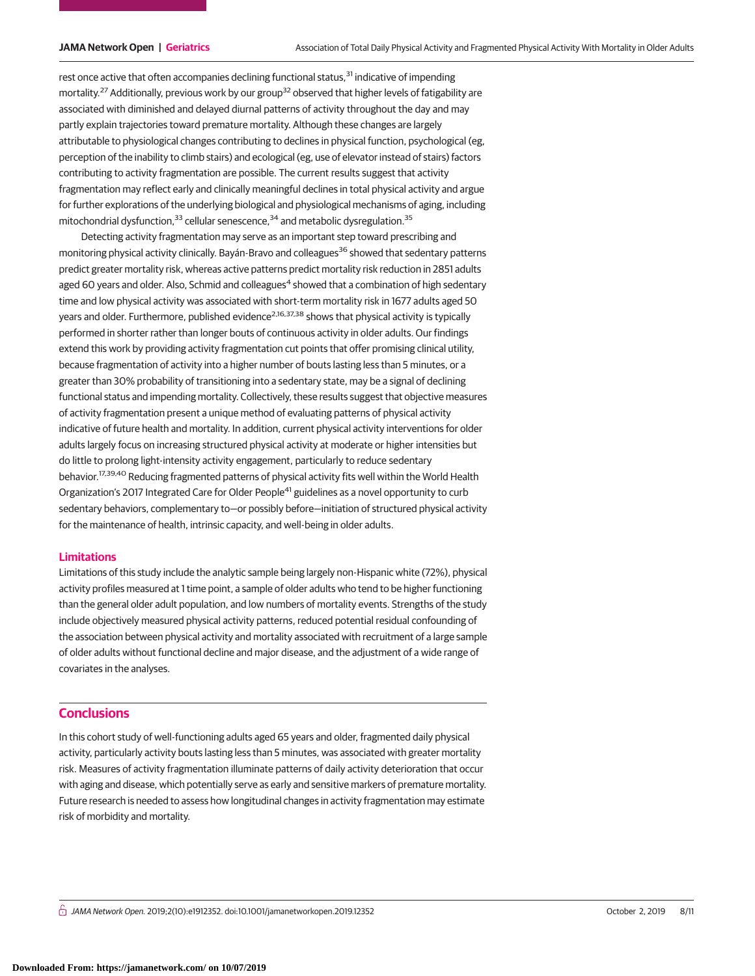rest once active that often accompanies declining functional status,<sup>31</sup> indicative of impending mortality.<sup>27</sup> Additionally, previous work by our group<sup>32</sup> observed that higher levels of fatigability are associated with diminished and delayed diurnal patterns of activity throughout the day and may partly explain trajectories toward premature mortality. Although these changes are largely attributable to physiological changes contributing to declines in physical function, psychological (eg, perception of the inability to climb stairs) and ecological (eg, use of elevator instead of stairs) factors contributing to activity fragmentation are possible. The current results suggest that activity fragmentation may reflect early and clinically meaningful declines in total physical activity and argue for further explorations of the underlying biological and physiological mechanisms of aging, including mitochondrial dysfunction,  $33$  cellular senescence,  $34$  and metabolic dysregulation.  $35$ 

Detecting activity fragmentation may serve as an important step toward prescribing and monitoring physical activity clinically. Bayán-Bravo and colleagues<sup>36</sup> showed that sedentary patterns predict greater mortality risk, whereas active patterns predict mortality risk reduction in 2851 adults aged 60 years and older. Also, Schmid and colleagues<sup>4</sup> showed that a combination of high sedentary time and low physical activity was associated with short-term mortality risk in 1677 adults aged 50 years and older. Furthermore, published evidence<sup>2,16,37,38</sup> shows that physical activity is typically performed in shorter rather than longer bouts of continuous activity in older adults. Our findings extend this work by providing activity fragmentation cut points that offer promising clinical utility, because fragmentation of activity into a higher number of bouts lasting less than 5 minutes, or a greater than 30% probability of transitioning into a sedentary state, may be a signal of declining functional status and impending mortality. Collectively, these results suggest that objective measures of activity fragmentation present a unique method of evaluating patterns of physical activity indicative of future health and mortality. In addition, current physical activity interventions for older adults largely focus on increasing structured physical activity at moderate or higher intensities but do little to prolong light-intensity activity engagement, particularly to reduce sedentary behavior.17,39,40 Reducing fragmented patterns of physical activity fits well within the World Health Organization's 2017 Integrated Care for Older People<sup>41</sup> guidelines as a novel opportunity to curb sedentary behaviors, complementary to-or possibly before-initiation of structured physical activity for the maintenance of health, intrinsic capacity, and well-being in older adults.

# **Limitations**

Limitations of this study include the analytic sample being largely non-Hispanic white (72%), physical activity profiles measured at 1 time point, a sample of older adults who tend to be higher functioning than the general older adult population, and low numbers of mortality events. Strengths of the study include objectively measured physical activity patterns, reduced potential residual confounding of the association between physical activity and mortality associated with recruitment of a large sample of older adults without functional decline and major disease, and the adjustment of a wide range of covariates in the analyses.

# **Conclusions**

In this cohort study of well-functioning adults aged 65 years and older, fragmented daily physical activity, particularly activity bouts lasting less than 5 minutes, was associated with greater mortality risk. Measures of activity fragmentation illuminate patterns of daily activity deterioration that occur with aging and disease, which potentially serve as early and sensitive markers of premature mortality. Future research is needed to assess how longitudinal changes in activity fragmentation may estimate risk of morbidity and mortality.

 $\bigcap$  JAMA Network Open. 2019;2(10):e1912352. doi:10.1001/jamanetworkopen.2019.12352 (Reprinted) October 2, 2019 8/11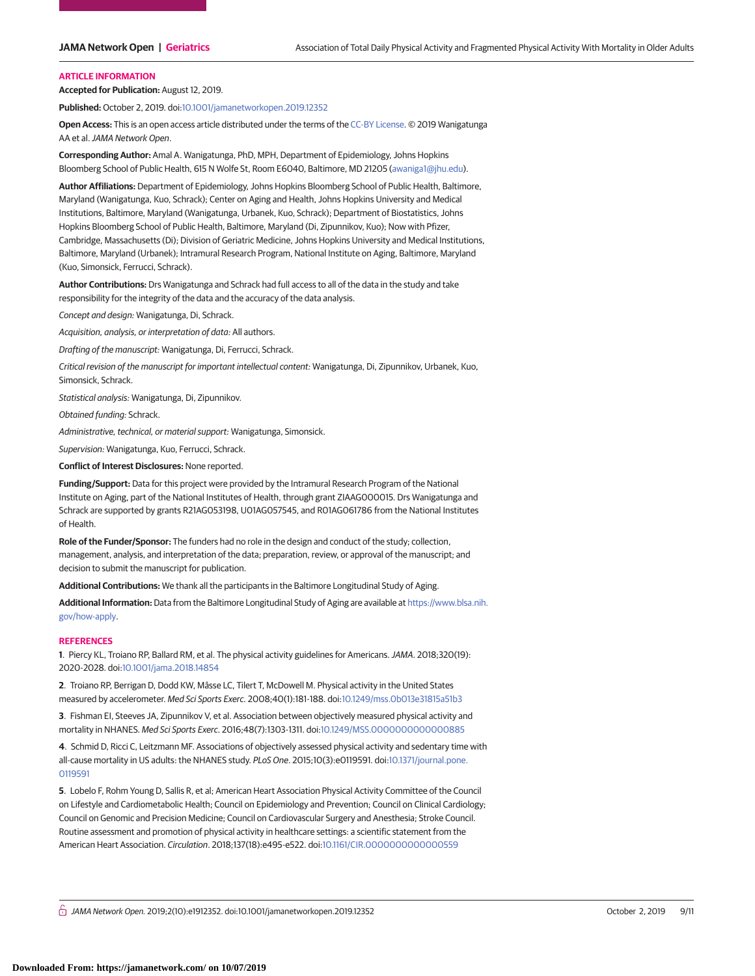#### **ARTICLE INFORMATION**

**Accepted for Publication:** August 12, 2019.

**Published:** October 2, 2019. doi[:10.1001/jamanetworkopen.2019.12352](https://jama.jamanetwork.com/article.aspx?doi=10.1001/jamanetworkopen.2019.12352&utm_campaign=articlePDF%26utm_medium=articlePDFlink%26utm_source=articlePDF%26utm_content=jamanetworkopen.2019.12352)

**Open Access:** This is an open access article distributed under the terms of the [CC-BY License.](https://jamanetwork.com/journals/jamanetworkopen/pages/instructions-for-authors#SecOpenAccess/?utm_campaign=articlePDF%26utm_medium=articlePDFlink%26utm_source=articlePDF%26utm_content=jamanetworkopen.2019.12352) © 2019 Wanigatunga AA et al.JAMA Network Open.

**Corresponding Author:** Amal A. Wanigatunga, PhD, MPH, Department of Epidemiology, Johns Hopkins Bloomberg School of Public Health, 615 N Wolfe St, Room E6040, Baltimore, MD 21205 [\(awaniga1@jhu.edu\)](mailto:awaniga1@jhu.edu).

**Author Affiliations:** Department of Epidemiology, Johns Hopkins Bloomberg School of Public Health, Baltimore, Maryland (Wanigatunga, Kuo, Schrack); Center on Aging and Health, Johns Hopkins University and Medical Institutions, Baltimore, Maryland (Wanigatunga, Urbanek, Kuo, Schrack); Department of Biostatistics, Johns Hopkins Bloomberg School of Public Health, Baltimore, Maryland (Di, Zipunnikov, Kuo); Now with Pfizer, Cambridge, Massachusetts (Di); Division of Geriatric Medicine, Johns Hopkins University and Medical Institutions, Baltimore, Maryland (Urbanek); Intramural Research Program, National Institute on Aging, Baltimore, Maryland (Kuo, Simonsick, Ferrucci, Schrack).

**Author Contributions:** Drs Wanigatunga and Schrack had full access to all of the data in the study and take responsibility for the integrity of the data and the accuracy of the data analysis.

Concept and design: Wanigatunga, Di, Schrack.

Acquisition, analysis, or interpretation of data: All authors.

Drafting of the manuscript: Wanigatunga, Di, Ferrucci, Schrack.

Critical revision of the manuscript for important intellectual content: Wanigatunga, Di, Zipunnikov, Urbanek, Kuo, Simonsick, Schrack.

Statistical analysis: Wanigatunga, Di, Zipunnikov.

Obtained funding: Schrack.

Administrative, technical, or material support: Wanigatunga, Simonsick.

Supervision: Wanigatunga, Kuo, Ferrucci, Schrack.

**Conflict of Interest Disclosures:** None reported.

**Funding/Support:** Data for this project were provided by the Intramural Research Program of the National Institute on Aging, part of the National Institutes of Health, through grant ZIAAG000015. Drs Wanigatunga and Schrack are supported by grants R21AG053198, U01AG057545, and R01AG061786 from the National Institutes of Health.

**Role of the Funder/Sponsor:** The funders had no role in the design and conduct of the study; collection, management, analysis, and interpretation of the data; preparation, review, or approval of the manuscript; and decision to submit the manuscript for publication.

**Additional Contributions:** We thank all the participants in the Baltimore Longitudinal Study of Aging.

**Additional Information:** Data from the Baltimore Longitudinal Study of Aging are available at [https://www.blsa.nih.](https://www.blsa.nih.gov/how-apply) [gov/how-apply.](https://www.blsa.nih.gov/how-apply)

#### **REFERENCES**

**1**. Piercy KL, Troiano RP, Ballard RM, et al. The physical activity guidelines for Americans.JAMA. 2018;320(19): 2020-2028. doi[:10.1001/jama.2018.14854](https://jama.jamanetwork.com/article.aspx?doi=10.1001/jama.2018.14854&utm_campaign=articlePDF%26utm_medium=articlePDFlink%26utm_source=articlePDF%26utm_content=jamanetworkopen.2019.12352)

**2**. Troiano RP, Berrigan D, Dodd KW, Mâsse LC, Tilert T, McDowell M. Physical activity in the United States measured by accelerometer. Med Sci Sports Exerc. 2008;40(1):181-188. doi[:10.1249/mss.0b013e31815a51b3](https://dx.doi.org/10.1249/mss.0b013e31815a51b3)

**3**. Fishman EI, Steeves JA, Zipunnikov V, et al. Association between objectively measured physical activity and mortality in NHANES. Med Sci Sports Exerc. 2016;48(7):1303-1311. doi[:10.1249/MSS.0000000000000885](https://dx.doi.org/10.1249/MSS.0000000000000885)

**4**. Schmid D, Ricci C, Leitzmann MF. Associations of objectively assessed physical activity and sedentary time with all-cause mortality in US adults: the NHANES study. PLoS One. 2015;10(3):e0119591. doi[:10.1371/journal.pone.](https://dx.doi.org/10.1371/journal.pone.0119591) [0119591](https://dx.doi.org/10.1371/journal.pone.0119591)

**5**. Lobelo F, Rohm Young D, Sallis R, et al; American Heart Association Physical Activity Committee of the Council on Lifestyle and Cardiometabolic Health; Council on Epidemiology and Prevention; Council on Clinical Cardiology; Council on Genomic and Precision Medicine; Council on Cardiovascular Surgery and Anesthesia; Stroke Council. Routine assessment and promotion of physical activity in healthcare settings: a scientific statement from the American Heart Association. Circulation. 2018;137(18):e495-e522. doi[:10.1161/CIR.0000000000000559](https://dx.doi.org/10.1161/CIR.0000000000000559)

 $\bigcap$  JAMA Network Open. 2019;2(10):e1912352. doi:10.1001/jamanetworkopen.2019.12352 (Reprinted) October 2, 2019 9/11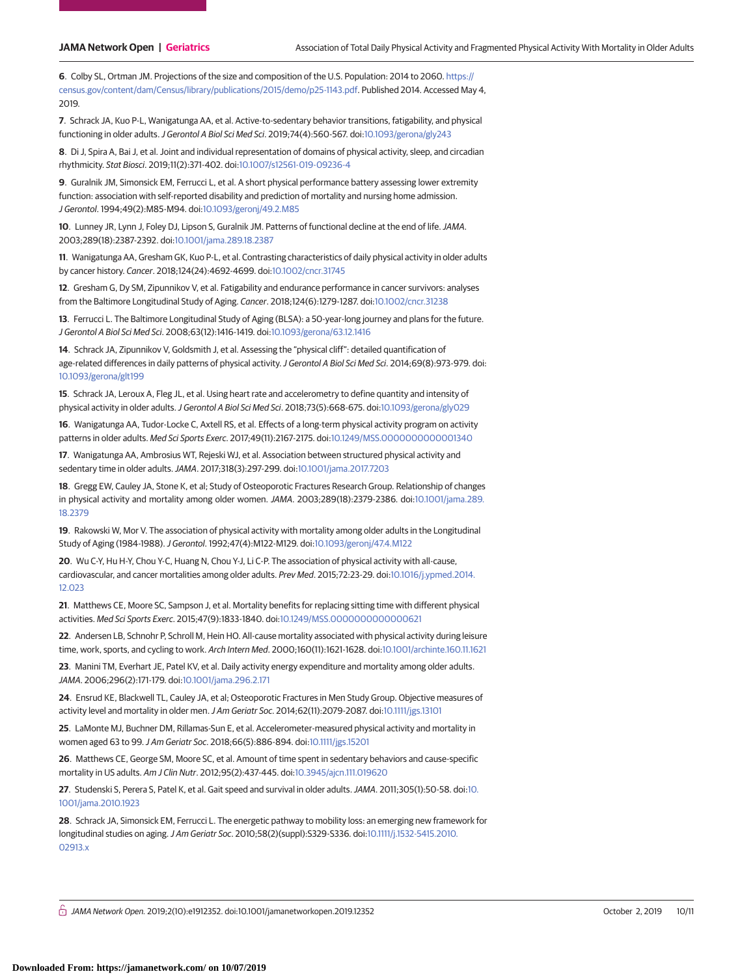**6**. Colby SL, Ortman JM. Projections of the size and composition of the U.S. Population: 2014 to 2060. [https://](https://census.gov/content/dam/Census/library/publications/2015/demo/p25-1143.pdf) [census.gov/content/dam/Census/library/publications/2015/demo/p25-1143.pdf.](https://census.gov/content/dam/Census/library/publications/2015/demo/p25-1143.pdf) Published 2014. Accessed May 4, 2019.

**7**. Schrack JA, Kuo P-L, Wanigatunga AA, et al. Active-to-sedentary behavior transitions, fatigability, and physical functioning in older adults.J Gerontol A Biol Sci Med Sci. 2019;74(4):560-567. doi[:10.1093/gerona/gly243](https://dx.doi.org/10.1093/gerona/gly243)

**8**. Di J, Spira A, Bai J, et al. Joint and individual representation of domains of physical activity, sleep, and circadian rhythmicity. Stat Biosci. 2019;11(2):371-402. doi[:10.1007/s12561-019-09236-4](https://dx.doi.org/10.1007/s12561-019-09236-4)

**9**. Guralnik JM, Simonsick EM, Ferrucci L, et al. A short physical performance battery assessing lower extremity function: association with self-reported disability and prediction of mortality and nursing home admission. J Gerontol. 1994;49(2):M85-M94. doi[:10.1093/geronj/49.2.M85](https://dx.doi.org/10.1093/geronj/49.2.M85)

**10**. Lunney JR, Lynn J, Foley DJ, Lipson S, Guralnik JM. Patterns of functional decline at the end of life.JAMA. 2003;289(18):2387-2392. doi[:10.1001/jama.289.18.2387](https://jama.jamanetwork.com/article.aspx?doi=10.1001/jama.289.18.2387&utm_campaign=articlePDF%26utm_medium=articlePDFlink%26utm_source=articlePDF%26utm_content=jamanetworkopen.2019.12352)

**11**. Wanigatunga AA, Gresham GK, Kuo P-L, et al. Contrasting characteristics of daily physical activity in older adults by cancer history. Cancer. 2018;124(24):4692-4699. doi[:10.1002/cncr.31745](https://dx.doi.org/10.1002/cncr.31745)

**12**. Gresham G, Dy SM, Zipunnikov V, et al. Fatigability and endurance performance in cancer survivors: analyses from the Baltimore Longitudinal Study of Aging. Cancer. 2018;124(6):1279-1287. doi[:10.1002/cncr.31238](https://dx.doi.org/10.1002/cncr.31238)

**13**. Ferrucci L. The Baltimore Longitudinal Study of Aging (BLSA): a 50-year-long journey and plans for the future. J Gerontol A Biol Sci Med Sci. 2008;63(12):1416-1419. doi[:10.1093/gerona/63.12.1416](https://dx.doi.org/10.1093/gerona/63.12.1416)

**14**. Schrack JA, Zipunnikov V, Goldsmith J, et al. Assessing the "physical cliff": detailed quantification of age-related differences in daily patterns of physical activity. J Gerontol A Biol Sci Med Sci. 2014;69(8):973-979. doi: [10.1093/gerona/glt199](https://dx.doi.org/10.1093/gerona/glt199)

**15**. Schrack JA, Leroux A, Fleg JL, et al. Using heart rate and accelerometry to define quantity and intensity of physical activity in older adults.J Gerontol A Biol Sci Med Sci. 2018;73(5):668-675. doi[:10.1093/gerona/gly029](https://dx.doi.org/10.1093/gerona/gly029)

**16**. Wanigatunga AA, Tudor-Locke C, Axtell RS, et al. Effects of a long-term physical activity program on activity patterns in older adults. Med Sci Sports Exerc. 2017;49(11):2167-2175. doi[:10.1249/MSS.0000000000001340](https://dx.doi.org/10.1249/MSS.0000000000001340)

**17**. Wanigatunga AA, Ambrosius WT, Rejeski WJ, et al. Association between structured physical activity and sedentary time in older adults.JAMA. 2017;318(3):297-299. doi[:10.1001/jama.2017.7203](https://jama.jamanetwork.com/article.aspx?doi=10.1001/jama.2017.7203&utm_campaign=articlePDF%26utm_medium=articlePDFlink%26utm_source=articlePDF%26utm_content=jamanetworkopen.2019.12352)

**18**. Gregg EW, Cauley JA, Stone K, et al; Study of Osteoporotic Fractures Research Group. Relationship of changes in physical activity and mortality among older women. JAMA. 2003;289(18):2379-2386. doi[:10.1001/jama.289.](https://jama.jamanetwork.com/article.aspx?doi=10.1001/jama.289.18.2379&utm_campaign=articlePDF%26utm_medium=articlePDFlink%26utm_source=articlePDF%26utm_content=jamanetworkopen.2019.12352) [18.2379](https://jama.jamanetwork.com/article.aspx?doi=10.1001/jama.289.18.2379&utm_campaign=articlePDF%26utm_medium=articlePDFlink%26utm_source=articlePDF%26utm_content=jamanetworkopen.2019.12352)

**19**. Rakowski W, Mor V. The association of physical activity with mortality among older adults in the Longitudinal Study of Aging (1984-1988).J Gerontol. 1992;47(4):M122-M129. doi[:10.1093/geronj/47.4.M122](https://dx.doi.org/10.1093/geronj/47.4.M122)

**20**. Wu C-Y, Hu H-Y, Chou Y-C, Huang N, Chou Y-J, Li C-P. The association of physical activity with all-cause, cardiovascular, and cancer mortalities among older adults. Prev Med. 2015;72:23-29. doi[:10.1016/j.ypmed.2014.](https://dx.doi.org/10.1016/j.ypmed.2014.12.023) [12.023](https://dx.doi.org/10.1016/j.ypmed.2014.12.023)

**21**. Matthews CE, Moore SC, Sampson J, et al. Mortality benefits for replacing sitting time with different physical activities. Med Sci Sports Exerc. 2015;47(9):1833-1840. doi[:10.1249/MSS.0000000000000621](https://dx.doi.org/10.1249/MSS.0000000000000621)

**22**. Andersen LB, Schnohr P, Schroll M, Hein HO. All-cause mortality associated with physical activity during leisure time, work, sports, and cycling to work. Arch Intern Med. 2000;160(11):1621-1628. doi[:10.1001/archinte.160.11.1621](https://jama.jamanetwork.com/article.aspx?doi=10.1001/archinte.160.11.1621&utm_campaign=articlePDF%26utm_medium=articlePDFlink%26utm_source=articlePDF%26utm_content=jamanetworkopen.2019.12352)

**23**. Manini TM, Everhart JE, Patel KV, et al. Daily activity energy expenditure and mortality among older adults. JAMA. 2006;296(2):171-179. doi[:10.1001/jama.296.2.171](https://jama.jamanetwork.com/article.aspx?doi=10.1001/jama.296.2.171&utm_campaign=articlePDF%26utm_medium=articlePDFlink%26utm_source=articlePDF%26utm_content=jamanetworkopen.2019.12352)

**24**. Ensrud KE, Blackwell TL, Cauley JA, et al; Osteoporotic Fractures in Men Study Group. Objective measures of activity level and mortality in older men. J Am Geriatr Soc. 2014;62(11):2079-2087. doi[:10.1111/jgs.13101](https://dx.doi.org/10.1111/jgs.13101)

**25**. LaMonte MJ, Buchner DM, Rillamas-Sun E, et al. Accelerometer-measured physical activity and mortality in women aged 63 to 99.J Am Geriatr Soc. 2018;66(5):886-894. doi[:10.1111/jgs.15201](https://dx.doi.org/10.1111/jgs.15201)

**26**. Matthews CE, George SM, Moore SC, et al. Amount of time spent in sedentary behaviors and cause-specific mortality in US adults. Am J Clin Nutr. 2012;95(2):437-445. doi[:10.3945/ajcn.111.019620](https://dx.doi.org/10.3945/ajcn.111.019620)

**27**. Studenski S, Perera S, Patel K, et al. Gait speed and survival in older adults.JAMA. 2011;305(1):50-58. doi[:10.](https://jama.jamanetwork.com/article.aspx?doi=10.1001/jama.2010.1923&utm_campaign=articlePDF%26utm_medium=articlePDFlink%26utm_source=articlePDF%26utm_content=jamanetworkopen.2019.12352) [1001/jama.2010.1923](https://jama.jamanetwork.com/article.aspx?doi=10.1001/jama.2010.1923&utm_campaign=articlePDF%26utm_medium=articlePDFlink%26utm_source=articlePDF%26utm_content=jamanetworkopen.2019.12352)

**28**. Schrack JA, Simonsick EM, Ferrucci L. The energetic pathway to mobility loss: an emerging new framework for longitudinal studies on aging.J Am Geriatr Soc. 2010;58(2)(suppl):S329-S336. doi[:10.1111/j.1532-5415.2010.](https://dx.doi.org/10.1111/j.1532-5415.2010.02913.x) [02913.x](https://dx.doi.org/10.1111/j.1532-5415.2010.02913.x)

 $\bigcap$  JAMA Network Open. 2019;2(10):e1912352. doi:10.1001/jamanetworkopen.2019.12352 (Reprinted) October 2, 2019 10/11